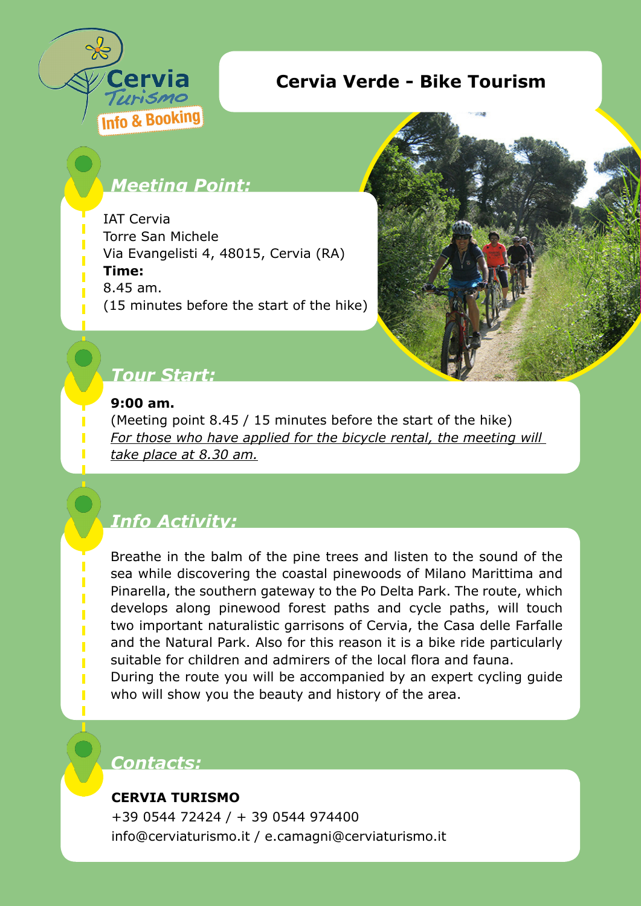

## **Cervia Verde - Bike Tourism**

## *Meeting Point:*

IAT Cervia Torre San Michele Via Evangelisti 4, 48015, Cervia (RA) **Time:**  8.45 am. (15 minutes before the start of the hike)



## *Tour Start:*

#### **9:00 am.**

(Meeting point 8.45 / 15 minutes before the start of the hike) *For those who have applied for the bicycle rental, the meeting will take place at 8.30 am.*

# *Info Activity:*

Breathe in the balm of the pine trees and listen to the sound of the sea while discovering the coastal pinewoods of Milano Marittima and Pinarella, the southern gateway to the Po Delta Park. The route, which develops along pinewood forest paths and cycle paths, will touch two important naturalistic garrisons of Cervia, the Casa delle Farfalle and the Natural Park. Also for this reason it is a bike ride particularly suitable for children and admirers of the local flora and fauna.

During the route you will be accompanied by an expert cycling guide who will show you the beauty and history of the area.

### *Contacts:*

#### **CERVIA TURISMO**

+39 0544 72424 / + 39 0544 974400 info@cerviaturismo.it / e.camagni@cerviaturismo.it